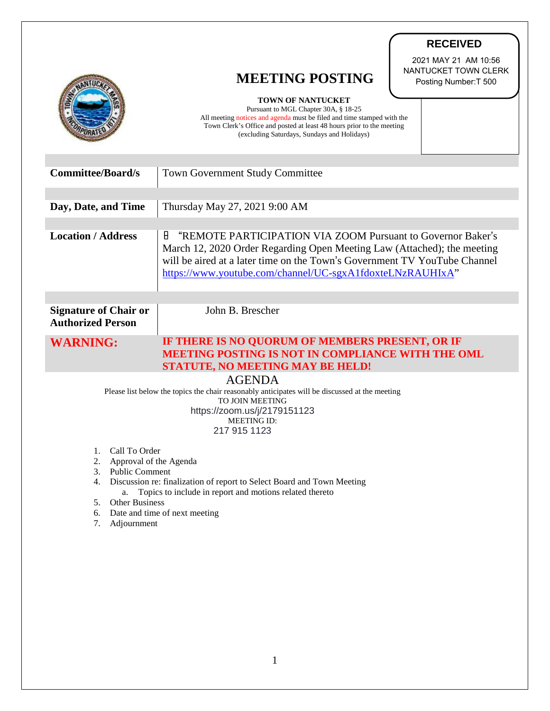|                                                                                                                                                                                         | <b>RECEIVED</b>                                                                                                                                                                                                                                                                       |
|-----------------------------------------------------------------------------------------------------------------------------------------------------------------------------------------|---------------------------------------------------------------------------------------------------------------------------------------------------------------------------------------------------------------------------------------------------------------------------------------|
|                                                                                                                                                                                         | 2021 MAY 21 AM 10:56<br>NANTUCKET TOWN CLERK<br><b>MEETING POSTING</b><br>Posting Number: T 500<br><b>TOWN OF NANTUCKET</b>                                                                                                                                                           |
|                                                                                                                                                                                         | Pursuant to MGL Chapter 30A, § 18-25<br>All meeting notices and agenda must be filed and time stamped with the<br>Town Clerk's Office and posted at least 48 hours prior to the meeting<br>(excluding Saturdays, Sundays and Holidays)                                                |
| <b>Committee/Board/s</b>                                                                                                                                                                | <b>Town Government Study Committee</b>                                                                                                                                                                                                                                                |
| Day, Date, and Time                                                                                                                                                                     | Thursday May 27, 2021 9:00 AM                                                                                                                                                                                                                                                         |
| <b>Location / Address</b>                                                                                                                                                               | Н<br>"REMOTE PARTICIPATION VIA ZOOM Pursuant to Governor Baker's<br>March 12, 2020 Order Regarding Open Meeting Law (Attached); the meeting<br>will be aired at a later time on the Town's Government TV YouTube Channel<br>https://www.youtube.com/channel/UC-sgxA1fdoxteLNzRAUHIxA" |
| <b>Signature of Chair or</b><br><b>Authorized Person</b>                                                                                                                                | John B. Brescher                                                                                                                                                                                                                                                                      |
| <b>WARNING:</b>                                                                                                                                                                         | IF THERE IS NO QUORUM OF MEMBERS PRESENT, OR IF<br><b>MEETING POSTING IS NOT IN COMPLIANCE WITH THE OML</b><br><b>STATUTE, NO MEETING MAY BE HELD!</b>                                                                                                                                |
| <b>AGENDA</b>                                                                                                                                                                           |                                                                                                                                                                                                                                                                                       |
| Please list below the topics the chair reasonably anticipates will be discussed at the meeting<br>TO JOIN MEETING<br>https://zoom.us/j/2179151123<br><b>MEETING ID:</b><br>217 915 1123 |                                                                                                                                                                                                                                                                                       |
|                                                                                                                                                                                         |                                                                                                                                                                                                                                                                                       |
| Call To Order<br>1.<br>2.<br>Approval of the Agenda                                                                                                                                     |                                                                                                                                                                                                                                                                                       |
| 3.<br><b>Public Comment</b>                                                                                                                                                             |                                                                                                                                                                                                                                                                                       |
| Discussion re: finalization of report to Select Board and Town Meeting<br>4.<br>Topics to include in report and motions related thereto<br>a.                                           |                                                                                                                                                                                                                                                                                       |
| Other Business<br>5.<br>Date and time of next meeting<br>6.                                                                                                                             |                                                                                                                                                                                                                                                                                       |
| Adjournment<br>7.                                                                                                                                                                       |                                                                                                                                                                                                                                                                                       |
|                                                                                                                                                                                         |                                                                                                                                                                                                                                                                                       |

7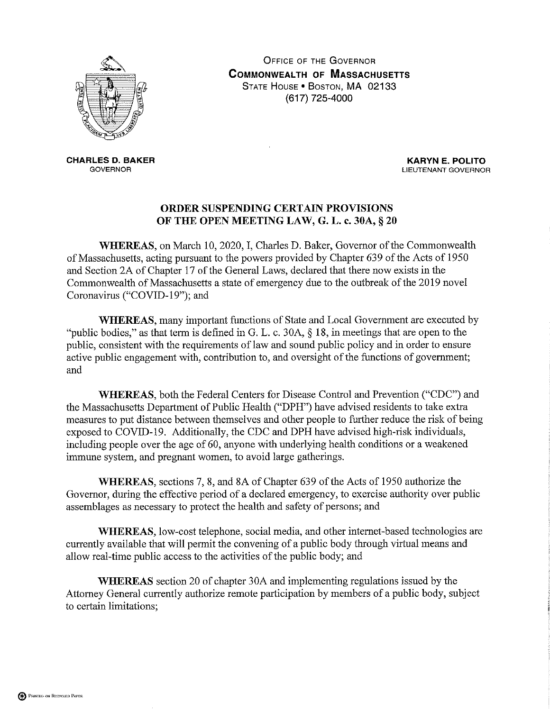

**OFFICE OF THE GOVERNOR COMMONWEALTH OF MASSACHUSETTS** STATE HOUSE . BOSTON, MA 02133 (617) 725-4000

**CHARLES D. BAKER GOVERNOR** 

**KARYN E. POLITO** LIEUTENANT GOVERNOR

## ORDER SUSPENDING CERTAIN PROVISIONS OF THE OPEN MEETING LAW, G. L. c. 30A, § 20

WHEREAS, on March 10, 2020, I, Charles D. Baker, Governor of the Commonwealth of Massachusetts, acting pursuant to the powers provided by Chapter 639 of the Acts of 1950 and Section 2A of Chapter 17 of the General Laws, declared that there now exists in the Commonwealth of Massachusetts a state of emergency due to the outbreak of the 2019 novel Coronavirus ("COVID-19"); and

**WHEREAS**, many important functions of State and Local Government are executed by "public bodies," as that term is defined in G. L. c. 30A,  $\S$  18, in meetings that are open to the public, consistent with the requirements of law and sound public policy and in order to ensure active public engagement with, contribution to, and oversight of the functions of government; and

WHEREAS, both the Federal Centers for Disease Control and Prevention ("CDC") and the Massachusetts Department of Public Health ("DPH") have advised residents to take extra measures to put distance between themselves and other people to further reduce the risk of being exposed to COVID-19. Additionally, the CDC and DPH have advised high-risk individuals, including people over the age of 60, anyone with underlying health conditions or a weakened immune system, and pregnant women, to avoid large gatherings.

WHEREAS, sections 7, 8, and 8A of Chapter 639 of the Acts of 1950 authorize the Governor, during the effective period of a declared emergency, to exercise authority over public assemblages as necessary to protect the health and safety of persons; and

WHEREAS, low-cost telephone, social media, and other internet-based technologies are currently available that will permit the convening of a public body through virtual means and allow real-time public access to the activities of the public body; and

**WHEREAS** section 20 of chapter 30A and implementing regulations issued by the Attorney General currently authorize remote participation by members of a public body, subject to certain limitations;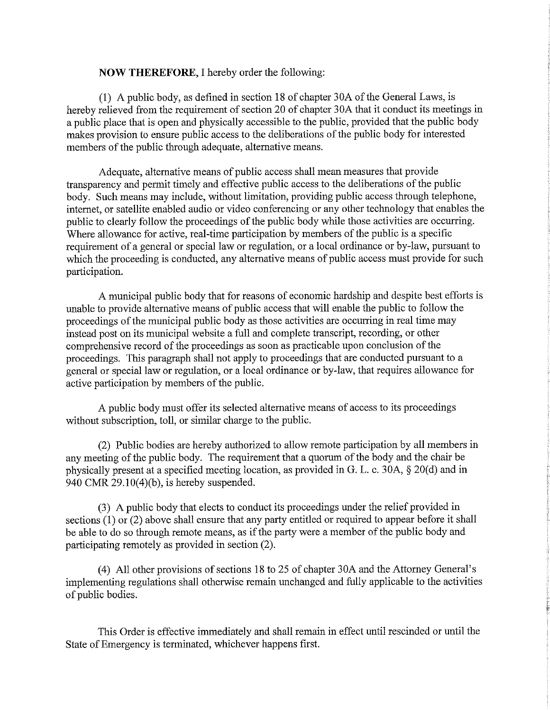## **NOW THEREFORE, I hereby order the following:**

(1) A public body, as defined in section 18 of chapter 30A of the General Laws, is hereby relieved from the requirement of section 20 of chapter 30A that it conduct its meetings in a public place that is open and physically accessible to the public, provided that the public body makes provision to ensure public access to the deliberations of the public body for interested members of the public through adequate, alternative means.

Adequate, alternative means of public access shall mean measures that provide transparency and permit timely and effective public access to the deliberations of the public body. Such means may include, without limitation, providing public access through telephone, internet, or satellite enabled audio or video conferencing or any other technology that enables the public to clearly follow the proceedings of the public body while those activities are occurring. Where allowance for active, real-time participation by members of the public is a specific requirement of a general or special law or regulation, or a local ordinance or by-law, pursuant to which the proceeding is conducted, any alternative means of public access must provide for such participation.

A municipal public body that for reasons of economic hardship and despite best efforts is unable to provide alternative means of public access that will enable the public to follow the proceedings of the municipal public body as those activities are occurring in real time may instead post on its municipal website a full and complete transcript, recording, or other comprehensive record of the proceedings as soon as practicable upon conclusion of the proceedings. This paragraph shall not apply to proceedings that are conducted pursuant to a general or special law or regulation, or a local ordinance or by-law, that requires allowance for active participation by members of the public.

A public body must offer its selected alternative means of access to its proceedings without subscription, toll, or similar charge to the public.

(2) Public bodies are hereby authorized to allow remote participation by all members in any meeting of the public body. The requirement that a quorum of the body and the chair be physically present at a specified meeting location, as provided in G. L. c. 30A, § 20(d) and in 940 CMR  $29.10(4)(b)$ , is hereby suspended.

(3) A public body that elects to conduct its proceedings under the relief provided in sections  $(1)$  or  $(2)$  above shall ensure that any party entitled or required to appear before it shall be able to do so through remote means, as if the party were a member of the public body and participating remotely as provided in section (2).

(4) All other provisions of sections 18 to 25 of chapter 30A and the Attorney General's implementing regulations shall otherwise remain unchanged and fully applicable to the activities of public bodies.

This Order is effective immediately and shall remain in effect until rescinded or until the State of Emergency is terminated, whichever happens first.